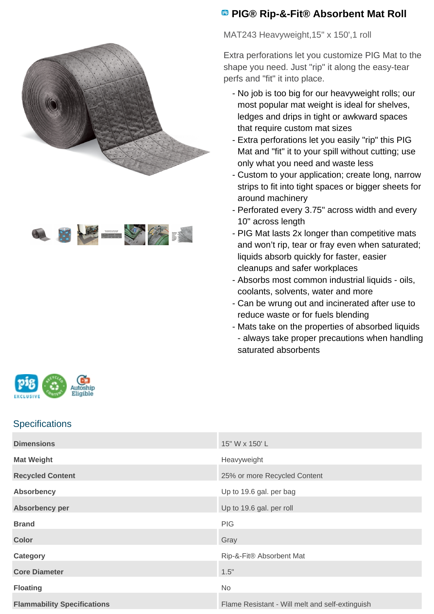



## **<sup><b>B</sup>** PIG® Rip-&-Fit® Absorbent Mat Roll</sup>

MAT243 Heavyweight, 15" x 150', 1 roll

Extra perforations let you customize PIG Mat to the shape you need. Just "rip" it along the easy-tear perfs and "fit" it into place.

- No job is too big for our heavyweight rolls; our most popular mat weight is ideal for shelves, ledges and drips in tight or awkward spaces that require custom mat sizes
- Extra perforations let you easily "rip" this PIG Mat and "fit" it to your spill without cutting; use only what you need and waste less
- Custom to your application; create long, narrow strips to fit into tight spaces or bigger sheets for around machinery
- Perforated every 3.75" across width and every 10" across length
- PIG Mat lasts 2x longer than competitive mats and won't rip, tear or fray even when saturated; liquids absorb quickly for faster, easier cleanups and safer workplaces
- Absorbs most common industrial liquids oils, coolants, solvents, water and more
- Can be wrung out and incinerated after use to reduce waste or for fuels blending
- Mats take on the properties of absorbed liquids -
- always take proper precautions when handling saturated absorbents



## **Specifications**

| <b>Dimensions</b>                  | 15" W x 150' L                                  |
|------------------------------------|-------------------------------------------------|
| <b>Mat Weight</b>                  | Heavyweight                                     |
| <b>Recycled Content</b>            | 25% or more Recycled Content                    |
| <b>Absorbency</b>                  | Up to 19.6 gal. per bag                         |
| <b>Absorbency per</b>              | Up to 19.6 gal. per roll                        |
| <b>Brand</b>                       | <b>PIG</b>                                      |
| <b>Color</b>                       | Gray                                            |
| Category                           | Rip-&-Fit® Absorbent Mat                        |
| <b>Core Diameter</b>               | 1.5"                                            |
| <b>Floating</b>                    | <b>No</b>                                       |
| <b>Flammability Specifications</b> | Flame Resistant - Will melt and self-extinguish |